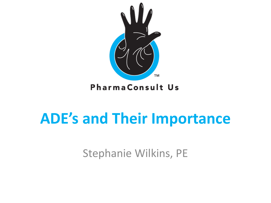

### **ADE's and Their Importance**

Stephanie Wilkins, PE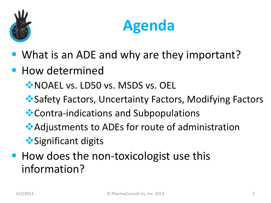



- **What is an ADE and why are they important?**
- **How determined** 
	- **NOAEL vs. LD50 vs. MSDS vs. OEL**
	- Safety Factors, Uncertainty Factors, Modifying Factors
	- Contra-indications and Subpopulations
	- Adjustments to ADEs for route of administration
	- **◆ Significant digits**
- **How does the non-toxicologist use this** information?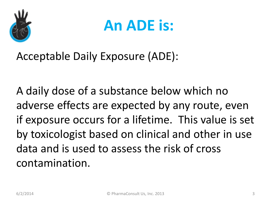

### **An ADE is:**

Acceptable Daily Exposure (ADE):

A daily dose of a substance below which no adverse effects are expected by any route, even if exposure occurs for a lifetime. This value is set by toxicologist based on clinical and other in use data and is used to assess the risk of cross contamination.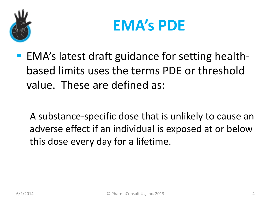

### **EMA's PDE**

**EMA's latest draft guidance for setting health**based limits uses the terms PDE or threshold value. These are defined as:

A substance-specific dose that is unlikely to cause an adverse effect if an individual is exposed at or below this dose every day for a lifetime.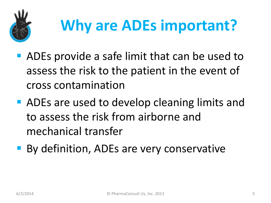

# **Why are ADEs important?**

- ADEs provide a safe limit that can be used to assess the risk to the patient in the event of cross contamination
- **ADEs are used to develop cleaning limits and** to assess the risk from airborne and mechanical transfer
- **By definition, ADEs are very conservative**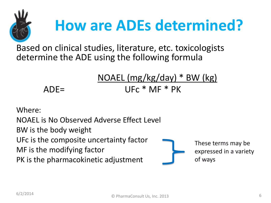

# **How are ADEs determined?**

Based on clinical studies, literature, etc. toxicologists determine the ADE using the following formula

### NOAEL (mg/kg/day) \* BW (kg) ADE= UFc \* MF \* PK

Where:

NOAEL is No Observed Adverse Effect Level BW is the body weight UFc is the composite uncertainty factor MF is the modifying factor PK is the pharmacokinetic adjustment



These terms may be expressed in a variety of ways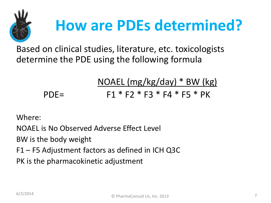

# **How are PDEs determined?**

Based on clinical studies, literature, etc. toxicologists determine the PDE using the following formula

### NOAEL (mg/kg/day) \* BW (kg) PDE=  $F1 * F2 * F3 * F4 * F5 * PK$

Where:

NOAEL is No Observed Adverse Effect Level

BW is the body weight

F1 – F5 Adjustment factors as defined in ICH Q3C

PK is the pharmacokinetic adjustment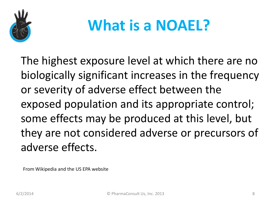

## **What is a NOAEL?**

The highest exposure level at which there are no biologically significant increases in the frequency or severity of adverse effect between the exposed population and its appropriate control; some effects may be produced at this level, but they are not considered adverse or precursors of adverse effects.

From Wikipedia and the US EPA website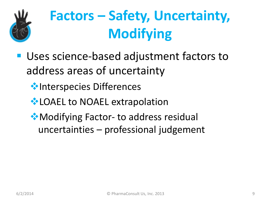

## **Factors – Safety, Uncertainty, Modifying**

- Uses science-based adjustment factors to address areas of uncertainty
	- **Interspecies Differences**
	- **EXACTE:** to NOAEL extrapolation
	- Modifying Factor- to address residual uncertainties – professional judgement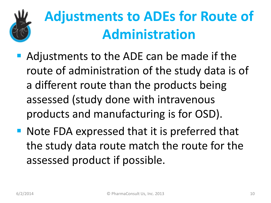

### **Adjustments to ADEs for Route of Administration**

- Adjustments to the ADE can be made if the route of administration of the study data is of a different route than the products being assessed (study done with intravenous products and manufacturing is for OSD).
- Note FDA expressed that it is preferred that the study data route match the route for the assessed product if possible.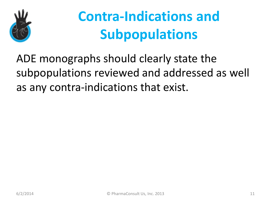

### **Contra-Indications and Subpopulations**

ADE monographs should clearly state the subpopulations reviewed and addressed as well as any contra-indications that exist.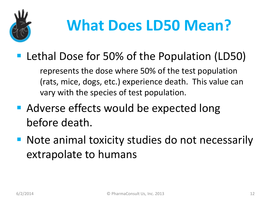

# **What Does LD50 Mean?**

■ Lethal Dose for 50% of the Population (LD50)

represents the dose where 50% of the test population (rats, mice, dogs, etc.) experience death. This value can vary with the species of test population.

- Adverse effects would be expected long before death.
- Note animal toxicity studies do not necessarily extrapolate to humans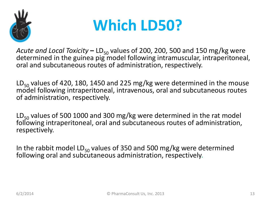

### **Which LD50?**

*Acute and Local Toxicity* – LD<sub>50</sub> values of 200, 200, 500 and 150 mg/kg were determined in the guinea pig model following intramuscular, intraperitoneal, oral and subcutaneous routes of administration, respectively.

LD<sub>50</sub> values of 420, 180, 1450 and 225 mg/kg were determined in the mouse model following intraperitoneal, intravenous, oral and subcutaneous routes of administration, respectively.

 $LD_{50}$  values of 500 1000 and 300 mg/kg were determined in the rat model following intraperitoneal, oral and subcutaneous routes of administration, respectively.

In the rabbit model LD $_{50}$  values of 350 and 500 mg/kg were determined following oral and subcutaneous administration, respectively.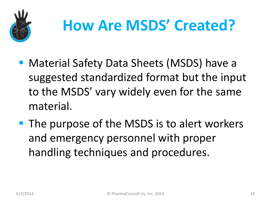

# **How Are MSDS' Created?**

- Material Safety Data Sheets (MSDS) have a suggested standardized format but the input to the MSDS' vary widely even for the same material.
- **The purpose of the MSDS is to alert workers** and emergency personnel with proper handling techniques and procedures.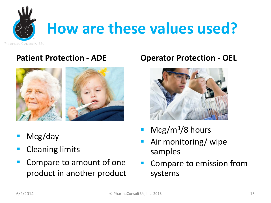

#### **Patient Protection - ADE**



- Mcg/day
- Cleaning limits
- Compare to amount of one product in another product

#### **Operator Protection - OEL**



- $Mcg/m<sup>3</sup>/8$  hours
- Air monitoring/ wipe samples
- Compare to emission from systems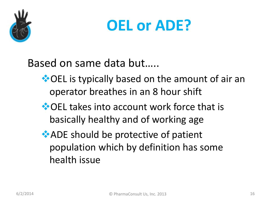

### **OEL or ADE?**

Based on same data but…..

- ◆ OEL is typically based on the amount of air an operator breathes in an 8 hour shift
- **◆ OEL takes into account work force that is** basically healthy and of working age
- ADE should be protective of patient population which by definition has some health issue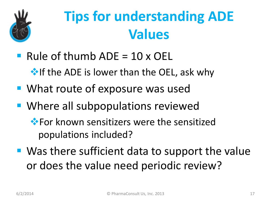

### **Tips for understanding ADE Values**

Rule of thumb  $ADE = 10 \times OEL$ 

 $\cdot$  If the ADE is lower than the OEL, ask why

- **What route of exposure was used**
- **Where all subpopulations reviewed** 
	- **\*** For known sensitizers were the sensitized populations included?
- Was there sufficient data to support the value or does the value need periodic review?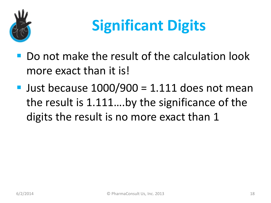

# **Significant Digits**

- Do not make the result of the calculation look more exact than it is!
- Just because  $1000/900 = 1.111$  does not mean the result is 1.111….by the significance of the digits the result is no more exact than 1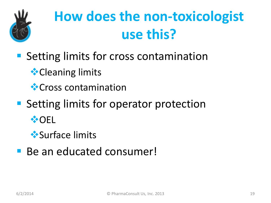

## **How does the non-toxicologist use this?**

- Setting limits for cross contamination
	- **<sup>◆</sup>Cleaning limits**
	- **<sup>◆</sup>Cross contamination**
- **Setting limits for operator protection**  ⊙EL
	- Surface limits
- Be an educated consumer!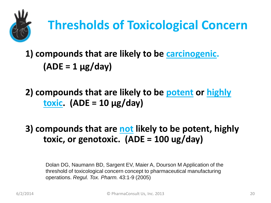

### **Thresholds of Toxicological Concern**

**1) compounds that are likely to be carcinogenic. (ADE = 1 µg/day)**

**2) compounds that are likely to be potent or highly toxic. (ADE = 10 µg/day)**

**3) compounds that are not likely to be potent, highly toxic, or genotoxic. (ADE = 100 ug/day)**

Dolan DG, Naumann BD, Sargent EV, Maier A, Dourson M Application of the threshold of toxicological concern concept to pharmaceutical manufacturing operations. *Regul. Tox. Pharm.* 43:1-9 (2005)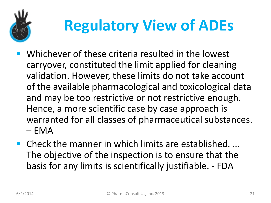

# **Regulatory View of ADEs**

- Whichever of these criteria resulted in the lowest carryover, constituted the limit applied for cleaning validation. However, these limits do not take account of the available pharmacological and toxicological data and may be too restrictive or not restrictive enough. Hence, a more scientific case by case approach is warranted for all classes of pharmaceutical substances.  $– EMA$
- Check the manner in which limits are established. ... The objective of the inspection is to ensure that the basis for any limits is scientifically justifiable. - FDA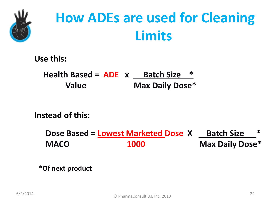

### **How ADEs are used for Cleaning Limits**

**Use this:** 

**Health Based = ADE x Batch Size \* Value Max Daily Dose\*** 

**Instead of this:**

**Dose Based = <u>Lowest Marketed</u> Dose X Batch Size MACO 1000 Max Daily Dose\***

**\*Of next product**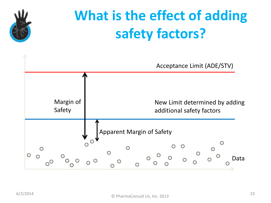

## **What is the effect of adding safety factors?**

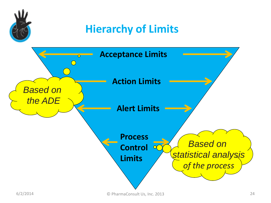

### **Hierarchy of Limits**

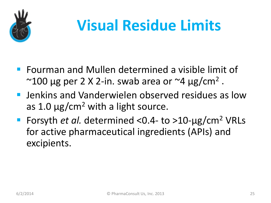

# **Visual Residue Limits**

- **F** Fourman and Mullen determined a visible limit of  $\sim$ 100 μg per 2 X 2-in. swab area or  $\sim$ 4 μg/cm<sup>2</sup>.
- **E** Jenkins and Vanderwielen observed residues as low as 1.0  $\mu$ g/cm<sup>2</sup> with a light source.
- Forsyth *et al.* determined <0.4- to >10-μg/cm<sup>2</sup> VRLs for active pharmaceutical ingredients (APIs) and excipients.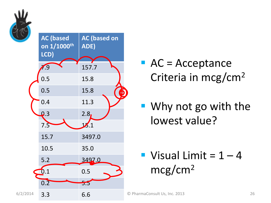



- $\blacksquare$  AC = Acceptance Criteria in mcg/cm2
- Why not go with the lowest value?

Visual Limit =  $1 - 4$ mcg/cm2